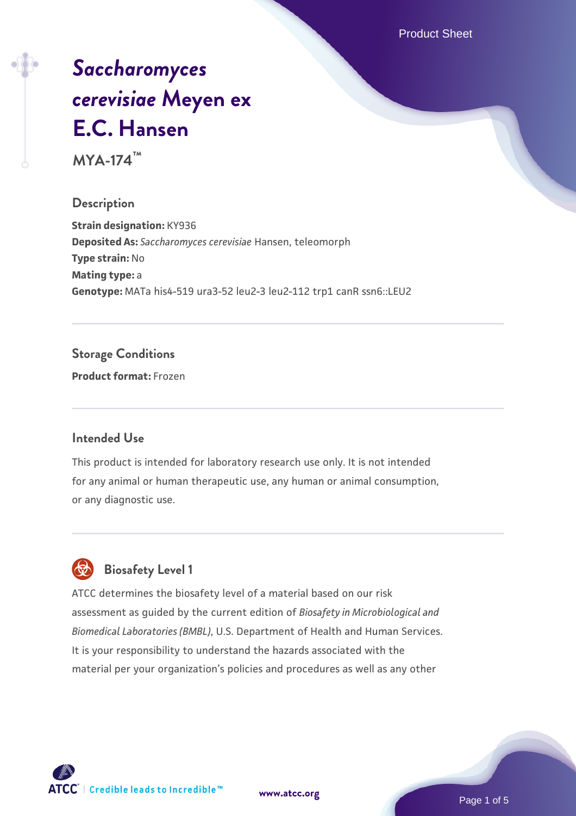Product Sheet

# *[Saccharomyces](https://www.atcc.org/products/mya-174) [cerevisiae](https://www.atcc.org/products/mya-174)* **[Meyen ex](https://www.atcc.org/products/mya-174) [E.C. Hansen](https://www.atcc.org/products/mya-174)**

**MYA-174™**

### **Description**

**Strain designation:** KY936 **Deposited As:** *Saccharomyces cerevisiae* Hansen, teleomorph **Type strain:** No **Mating type:** a **Genotype:** MATa his4-519 ura3-52 leu2-3 leu2-112 trp1 canR ssn6::LEU2

### **Storage Conditions**

**Product format:** Frozen

### **Intended Use**

This product is intended for laboratory research use only. It is not intended for any animal or human therapeutic use, any human or animal consumption, or any diagnostic use.



### **Biosafety Level 1**

ATCC determines the biosafety level of a material based on our risk assessment as guided by the current edition of *Biosafety in Microbiological and Biomedical Laboratories (BMBL)*, U.S. Department of Health and Human Services. It is your responsibility to understand the hazards associated with the material per your organization's policies and procedures as well as any other



**[www.atcc.org](http://www.atcc.org)**

Page 1 of 5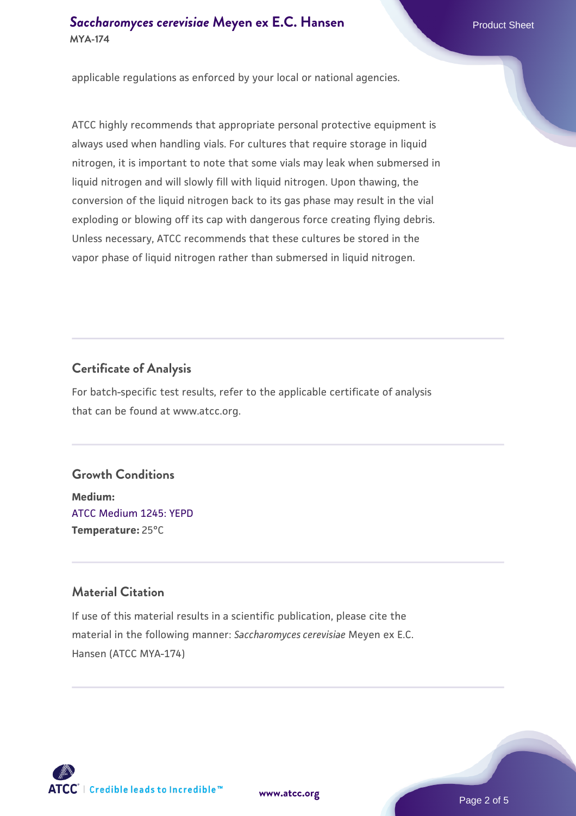### **[Saccharomyces cerevisiae](https://www.atcc.org/products/mya-174)** [Meyen ex E.C. Hansen](https://www.atcc.org/products/mya-174) **MYA-174**

applicable regulations as enforced by your local or national agencies.

ATCC highly recommends that appropriate personal protective equipment is always used when handling vials. For cultures that require storage in liquid nitrogen, it is important to note that some vials may leak when submersed in liquid nitrogen and will slowly fill with liquid nitrogen. Upon thawing, the conversion of the liquid nitrogen back to its gas phase may result in the vial exploding or blowing off its cap with dangerous force creating flying debris. Unless necessary, ATCC recommends that these cultures be stored in the vapor phase of liquid nitrogen rather than submersed in liquid nitrogen.

### **Certificate of Analysis**

For batch-specific test results, refer to the applicable certificate of analysis that can be found at www.atcc.org.

### **Growth Conditions**

**Medium:**  [ATCC Medium 1245: YEPD](https://www.atcc.org/-/media/product-assets/documents/microbial-media-formulations/1/2/4/5/atcc-medium-1245.pdf?rev=705ca55d1b6f490a808a965d5c072196) **Temperature:** 25°C

### **Material Citation**

If use of this material results in a scientific publication, please cite the material in the following manner: *Saccharomyces cerevisiae* Meyen ex E.C. Hansen (ATCC MYA-174)



**[www.atcc.org](http://www.atcc.org)**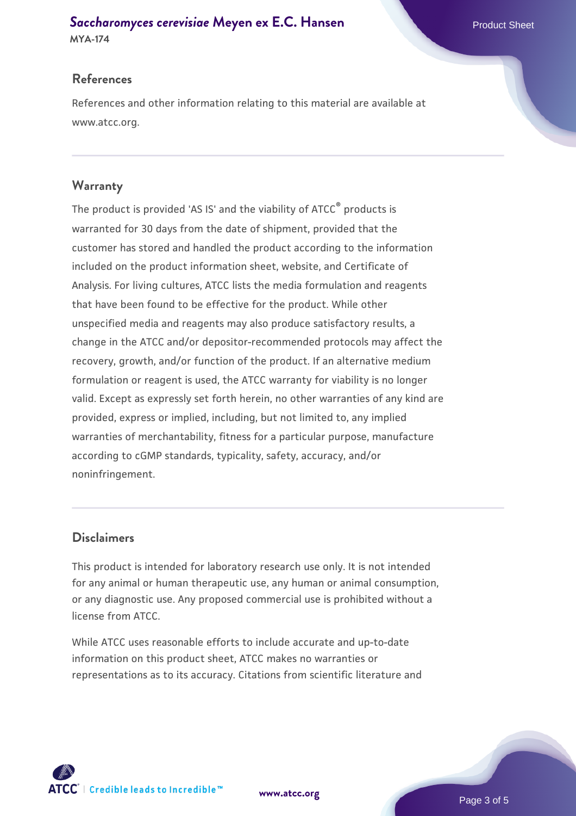## **[Saccharomyces cerevisiae](https://www.atcc.org/products/mya-174)** [Meyen ex E.C. Hansen](https://www.atcc.org/products/mya-174)

**MYA-174**

### **References**

References and other information relating to this material are available at www.atcc.org.

### **Warranty**

The product is provided 'AS IS' and the viability of ATCC® products is warranted for 30 days from the date of shipment, provided that the customer has stored and handled the product according to the information included on the product information sheet, website, and Certificate of Analysis. For living cultures, ATCC lists the media formulation and reagents that have been found to be effective for the product. While other unspecified media and reagents may also produce satisfactory results, a change in the ATCC and/or depositor-recommended protocols may affect the recovery, growth, and/or function of the product. If an alternative medium formulation or reagent is used, the ATCC warranty for viability is no longer valid. Except as expressly set forth herein, no other warranties of any kind are provided, express or implied, including, but not limited to, any implied warranties of merchantability, fitness for a particular purpose, manufacture according to cGMP standards, typicality, safety, accuracy, and/or noninfringement.

### **Disclaimers**

This product is intended for laboratory research use only. It is not intended for any animal or human therapeutic use, any human or animal consumption, or any diagnostic use. Any proposed commercial use is prohibited without a license from ATCC.

While ATCC uses reasonable efforts to include accurate and up-to-date information on this product sheet, ATCC makes no warranties or representations as to its accuracy. Citations from scientific literature and

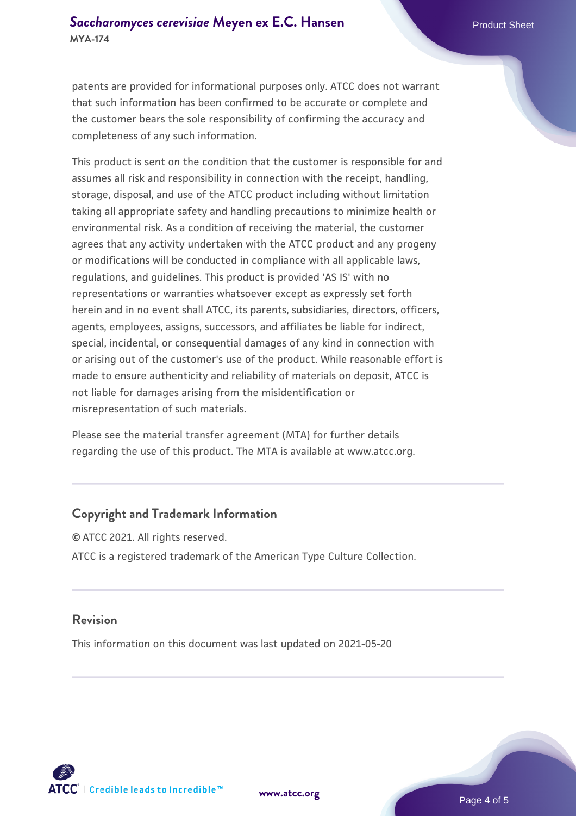patents are provided for informational purposes only. ATCC does not warrant that such information has been confirmed to be accurate or complete and the customer bears the sole responsibility of confirming the accuracy and completeness of any such information.

This product is sent on the condition that the customer is responsible for and assumes all risk and responsibility in connection with the receipt, handling, storage, disposal, and use of the ATCC product including without limitation taking all appropriate safety and handling precautions to minimize health or environmental risk. As a condition of receiving the material, the customer agrees that any activity undertaken with the ATCC product and any progeny or modifications will be conducted in compliance with all applicable laws, regulations, and guidelines. This product is provided 'AS IS' with no representations or warranties whatsoever except as expressly set forth herein and in no event shall ATCC, its parents, subsidiaries, directors, officers, agents, employees, assigns, successors, and affiliates be liable for indirect, special, incidental, or consequential damages of any kind in connection with or arising out of the customer's use of the product. While reasonable effort is made to ensure authenticity and reliability of materials on deposit, ATCC is not liable for damages arising from the misidentification or misrepresentation of such materials.

Please see the material transfer agreement (MTA) for further details regarding the use of this product. The MTA is available at www.atcc.org.

### **Copyright and Trademark Information**

© ATCC 2021. All rights reserved. ATCC is a registered trademark of the American Type Culture Collection.

### **Revision**

This information on this document was last updated on 2021-05-20



**[www.atcc.org](http://www.atcc.org)**